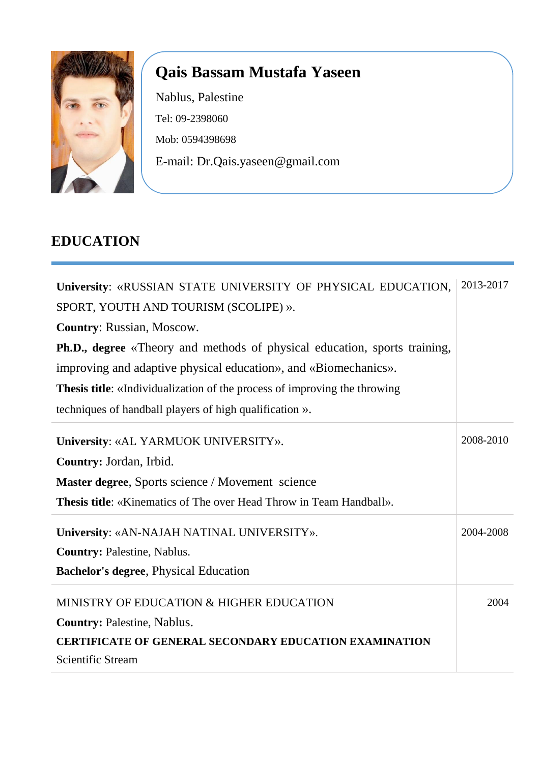

# **Qais Bassam Mustafa Yaseen**

Nablus, Palestine Tel: 09-2398060 Mob: 0594398698 E-mail: Dr.Qais.yaseen@gmail.com

# **EDUCATION**

| University: «RUSSIAN STATE UNIVERSITY OF PHYSICAL EDUCATION,                     |           |  |  |  |
|----------------------------------------------------------------------------------|-----------|--|--|--|
| SPORT, YOUTH AND TOURISM (SCOLIPE) ».                                            |           |  |  |  |
| <b>Country: Russian, Moscow.</b>                                                 |           |  |  |  |
| <b>Ph.D., degree</b> «Theory and methods of physical education, sports training, |           |  |  |  |
| improving and adaptive physical education», and «Biomechanics».                  |           |  |  |  |
| <b>Thesis title:</b> «Individualization of the process of improving the throwing |           |  |  |  |
| techniques of handball players of high qualification ».                          |           |  |  |  |
| University: «AL YARMUOK UNIVERSITY».                                             | 2008-2010 |  |  |  |
| Country: Jordan, Irbid.                                                          |           |  |  |  |
| Master degree, Sports science / Movement science                                 |           |  |  |  |
| <b>Thesis title:</b> «Kinematics of The over Head Throw in Team Handball».       |           |  |  |  |
| University: «AN-NAJAH NATINAL UNIVERSITY».                                       | 2004-2008 |  |  |  |
| <b>Country: Palestine, Nablus.</b>                                               |           |  |  |  |
| <b>Bachelor's degree, Physical Education</b>                                     |           |  |  |  |
| MINISTRY OF EDUCATION & HIGHER EDUCATION                                         | 2004      |  |  |  |
| <b>Country: Palestine, Nablus.</b>                                               |           |  |  |  |
| <b>CERTIFICATE OF GENERAL SECONDARY EDUCATION EXAMINATION</b>                    |           |  |  |  |
| <b>Scientific Stream</b>                                                         |           |  |  |  |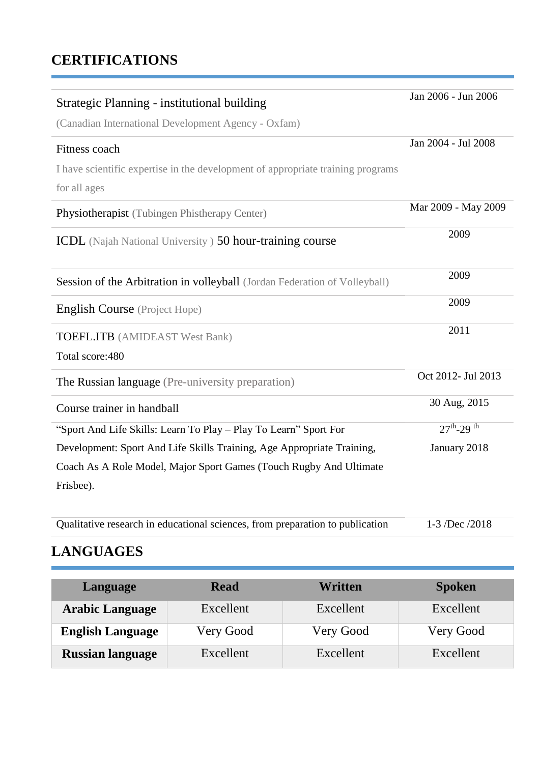# **CERTIFICATIONS**

| Strategic Planning - institutional building                                                     | Jan 2006 - Jun 2006 |
|-------------------------------------------------------------------------------------------------|---------------------|
| (Canadian International Development Agency - Oxfam)                                             |                     |
| Fitness coach                                                                                   | Jan 2004 - Jul 2008 |
| I have scientific expertise in the development of appropriate training programs<br>for all ages |                     |
| Physiotherapist (Tubingen Phistherapy Center)                                                   | Mar 2009 - May 2009 |
| <b>ICDL</b> (Najah National University) 50 hour-training course                                 | 2009                |
| Session of the Arbitration in volleyball (Jordan Federation of Volleyball)                      | 2009                |
| <b>English Course</b> (Project Hope)                                                            | 2009                |
| <b>TOEFL.ITB</b> (AMIDEAST West Bank)<br>Total score: 480                                       | 2011                |
| The Russian language (Pre-university preparation)                                               | Oct 2012- Jul 2013  |
| Course trainer in handball                                                                      | 30 Aug, 2015        |
| "Sport And Life Skills: Learn To Play - Play To Learn" Sport For                                | $27^{th} - 29^{th}$ |
| Development: Sport And Life Skills Training, Age Appropriate Training,                          | January 2018        |
| Coach As A Role Model, Major Sport Games (Touch Rugby And Ultimate                              |                     |
| Frisbee).                                                                                       |                     |

| Qualitative research in educational sciences, from preparation to publication | $1-3$ /Dec /2018 |
|-------------------------------------------------------------------------------|------------------|
|-------------------------------------------------------------------------------|------------------|

# **LANGUAGES**

ń

| Language                | <b>Read</b> | Written   | <b>Spoken</b> |
|-------------------------|-------------|-----------|---------------|
| <b>Arabic Language</b>  | Excellent   | Excellent | Excellent     |
| <b>English Language</b> | Very Good   | Very Good | Very Good     |
| <b>Russian language</b> | Excellent   | Excellent | Excellent     |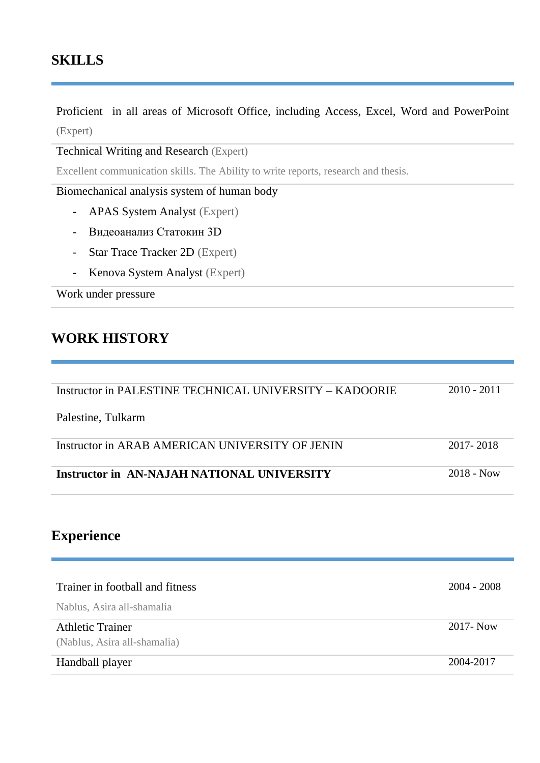#### **SKILLS**

Proficient in all areas of Microsoft Office, including Access, Excel, Word and PowerPoint (Expert)

Technical Writing and Research (Expert)

Excellent communication skills. The Ability to write reports, research and thesis.

Biomechanical analysis system of human body

- APAS System Analyst (Expert)
- Видеоанализ Статокин 3D
- Star Trace Tracker 2D (Expert)
- Kenova System Analyst (Expert)

Work under pressure

#### **WORK HISTORY**

| Instructor in PALESTINE TECHNICAL UNIVERSITY – KADOORIE | $2010 - 2011$ |
|---------------------------------------------------------|---------------|
| Palestine, Tulkarm                                      |               |
| Instructor in ARAB AMERICAN UNIVERSITY OF JENIN         | 2017-2018     |
| Instructor in AN-NAJAH NATIONAL UNIVERSITY              | $2018 - Now$  |

#### **Experience**

| Trainer in football and fitness | 2004 - 2008  |
|---------------------------------|--------------|
| Nablus, Asira all-shamalia      |              |
| <b>Athletic Trainer</b>         | $2017 - Now$ |
| (Nablus, Asira all-shamalia)    |              |
| Handball player                 | 2004-2017    |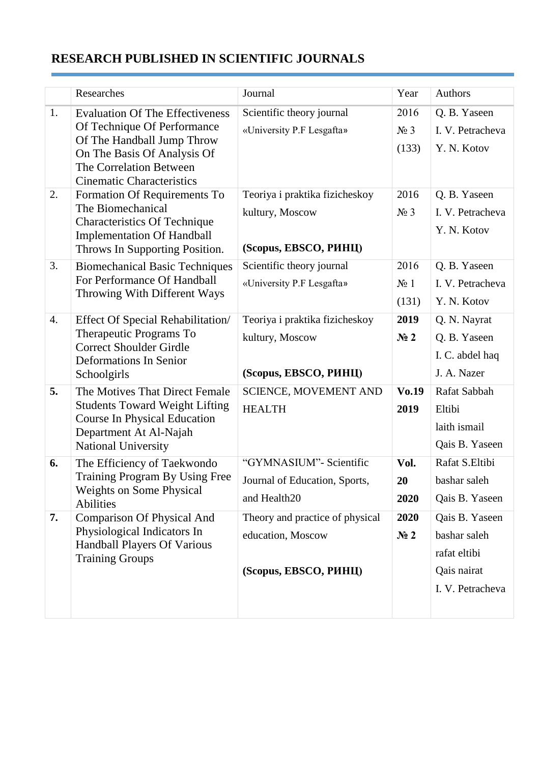# **RESEARCH PUBLISHED IN SCIENTIFIC JOURNALS**

|                  | Researches                                                                                                                                                                                        | Journal                                                                        | Year                     | Authors                                                                           |
|------------------|---------------------------------------------------------------------------------------------------------------------------------------------------------------------------------------------------|--------------------------------------------------------------------------------|--------------------------|-----------------------------------------------------------------------------------|
| 1.               | <b>Evaluation Of The Effectiveness</b><br>Of Technique Of Performance<br>Of The Handball Jump Throw<br>On The Basis Of Analysis Of<br>The Correlation Between<br><b>Cinematic Characteristics</b> | Scientific theory journal<br>«University P.F Lesgafta»                         | 2016<br>$N_2$ 3<br>(133) | Q. B. Yaseen<br>I. V. Petracheva<br>Y. N. Kotov                                   |
| 2.               | Formation Of Requirements To<br>The Biomechanical<br><b>Characteristics Of Technique</b><br><b>Implementation Of Handball</b><br>Throws In Supporting Position.                                   | Teoriya i praktika fizicheskoy<br>kultury, Moscow<br>(Scopus, EBSCO, PHHII)    | 2016<br>$N_2$ 3          | Q. B. Yaseen<br>I. V. Petracheva<br>Y. N. Kotov                                   |
| 3.               | <b>Biomechanical Basic Techniques</b><br>For Performance Of Handball<br>Throwing With Different Ways                                                                                              | Scientific theory journal<br>«University P.F Lesgafta»                         | 2016<br>$N_2$ 1<br>(131) | Q. B. Yaseen<br>I. V. Petracheva<br>Y. N. Kotov                                   |
| $\overline{4}$ . | <b>Effect Of Special Rehabilitation/</b><br>Therapeutic Programs To<br><b>Correct Shoulder Girdle</b><br><b>Deformations In Senior</b><br>Schoolgirls                                             | Teoriya i praktika fizicheskoy<br>kultury, Moscow<br>(Scopus, EBSCO, PHHII)    | 2019<br>N <sub>2</sub>   | Q. N. Nayrat<br>Q. B. Yaseen<br>I. C. abdel haq<br>J. A. Nazer                    |
| 5.               | The Motives That Direct Female<br><b>Students Toward Weight Lifting</b><br><b>Course In Physical Education</b><br>Department At Al-Najah<br><b>National University</b>                            | <b>SCIENCE, MOVEMENT AND</b><br><b>HEALTH</b>                                  | $V_0.19$<br>2019         | Rafat Sabbah<br>Eltibi<br>laith ismail<br>Qais B. Yaseen                          |
| 6.               | The Efficiency of Taekwondo<br>Training Program By Using Free<br><b>Weights on Some Physical</b><br><b>Abilities</b>                                                                              | "GYMNASIUM" - Scientific<br>Journal of Education, Sports,<br>and Health20      | Vol.<br>20<br>2020       | Rafat S.Eltibi<br>bashar saleh<br>Qais B. Yaseen                                  |
| 7.               | <b>Comparison Of Physical And</b><br>Physiological Indicators In<br>Handball Players Of Various<br><b>Training Groups</b>                                                                         | Theory and practice of physical<br>education, Moscow<br>(Scopus, EBSCO, PHHII) | 2020<br>N <sub>2</sub>   | Qais B. Yaseen<br>bashar saleh<br>rafat eltibi<br>Qais nairat<br>I. V. Petracheva |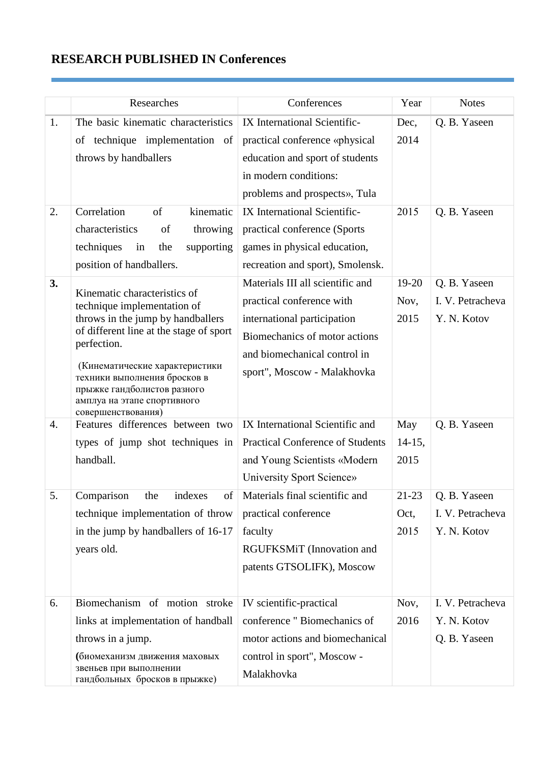# **RESEARCH PUBLISHED IN Conferences**

|                  | Researches                                                                                                                                                                                                                                                                                                       | Conferences                                                                                                                                                                                  | Year                      | <b>Notes</b>                                    |
|------------------|------------------------------------------------------------------------------------------------------------------------------------------------------------------------------------------------------------------------------------------------------------------------------------------------------------------|----------------------------------------------------------------------------------------------------------------------------------------------------------------------------------------------|---------------------------|-------------------------------------------------|
| 1.               | The basic kinematic characteristics                                                                                                                                                                                                                                                                              | IX International Scientific-                                                                                                                                                                 | Dec,                      | Q. B. Yaseen                                    |
|                  | of technique implementation of<br>throws by handballers                                                                                                                                                                                                                                                          | practical conference «physical<br>education and sport of students<br>in modern conditions:<br>problems and prospects», Tula                                                                  | 2014                      |                                                 |
| 2.               | Correlation<br>of<br>kinematic<br>characteristics<br>throwing<br>of<br>techniques<br>the<br>supporting<br>in<br>position of handballers.                                                                                                                                                                         | IX International Scientific-<br>practical conference (Sports<br>games in physical education,<br>recreation and sport), Smolensk.                                                             | 2015                      | Q. B. Yaseen                                    |
| 3.               | Kinematic characteristics of<br>technique implementation of<br>throws in the jump by handballers<br>of different line at the stage of sport<br>perfection.<br>(Кинематические характеристики<br>техники выполнения бросков в<br>прыжке гандболистов разного<br>амплуа на этапе спортивного<br>совершенствования) | Materials III all scientific and<br>practical conference with<br>international participation<br>Biomechanics of motor actions<br>and biomechanical control in<br>sport", Moscow - Malakhovka | 19-20<br>Nov,<br>2015     | Q. B. Yaseen<br>I. V. Petracheva<br>Y. N. Kotov |
| $\overline{4}$ . | Features differences between two<br>types of jump shot techniques in<br>handball.                                                                                                                                                                                                                                | IX International Scientific and<br><b>Practical Conference of Students</b><br>and Young Scientists «Modern<br>University Sport Science»                                                      | May<br>$14-15,$<br>2015   | Q. B. Yaseen                                    |
| 5.               | Comparison the indexes of<br>technique implementation of throw<br>in the jump by handballers of 16-17<br>years old.                                                                                                                                                                                              | Materials final scientific and<br>practical conference<br>faculty<br>RGUFKSMiT (Innovation and<br>patents GTSOLIFK), Moscow                                                                  | $21 - 23$<br>Oct,<br>2015 | Q. B. Yaseen<br>I. V. Petracheva<br>Y. N. Kotov |
| 6.               | Biomechanism of motion stroke<br>links at implementation of handball<br>throws in a jump.<br>(биомеханизм движения маховых<br>звеньев при выполнении<br>гандбольных бросков в прыжке)                                                                                                                            | IV scientific-practical<br>conference "Biomechanics of<br>motor actions and biomechanical<br>control in sport", Moscow -<br>Malakhovka                                                       | Nov,<br>2016              | I. V. Petracheva<br>Y. N. Kotov<br>Q. B. Yaseen |